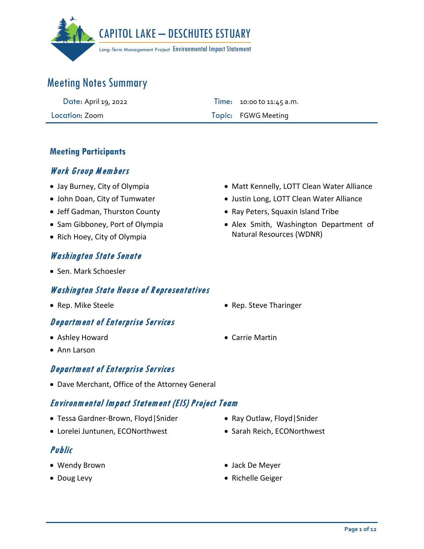

| Date: April 19, 2022 | <b>Time:</b> 10:00 to 11:45 a.m. |
|----------------------|----------------------------------|
| Location: Zoom       | Topic: FGWG Meeting              |

### **Meeting Participants**

### Work Group M embers

- Jay Burney, City of Olympia
- John Doan, City of Tumwater
- Jeff Gadman, Thurston County
- Sam Gibboney, Port of Olympia
- Rich Hoey, City of Olympia

### Washington State Senate

• Sen. Mark Schoesler

#### Washington State House of Representatives

• Rep. Mike Steele **• Rep. Steve Tharinger** 

### Department of Enterprise Services

- Ashley Howard
- Ann Larson

### Department of Enterprise Services

• Dave Merchant, Office of the Attorney General

### Environmental Impact Statement (EIS) Project Team

- Tessa Gardner-Brown, Floyd|Snider
- Lorelei Juntunen, ECONorthwest

### Public

- Wendy Brown
- Doug Levy
- Matt Kennelly, LOTT Clean Water Alliance
- Justin Long, LOTT Clean Water Alliance
- Ray Peters, Squaxin Island Tribe
- Alex Smith, Washington Department of Natural Resources (WDNR)

- 
- Carrie Martin

- Ray Outlaw, Floyd|Snider
- Sarah Reich, ECONorthwest
- Jack De Meyer
- Richelle Geiger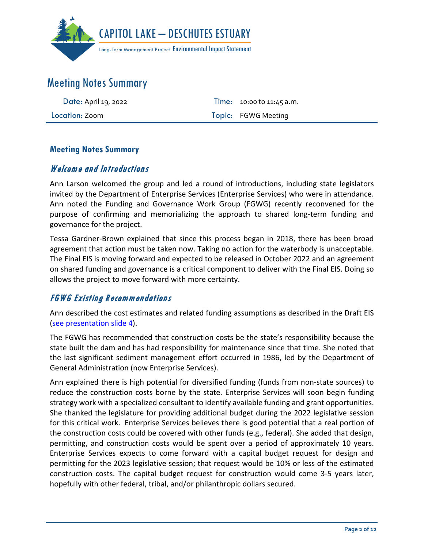

| Date: April 19, 2022 | <b>Time:</b> 10:00 to 11:45 a.m. |
|----------------------|----------------------------------|
| Location: Zoom       | Topic: FGWG Meeting              |

### **Meeting Notes Summary**

### Welcome and Introductions

Ann Larson welcomed the group and led a round of introductions, including state legislators invited by the Department of Enterprise Services (Enterprise Services) who were in attendance. Ann noted the Funding and Governance Work Group (FGWG) recently reconvened for the purpose of confirming and memorializing the approach to shared long-term funding and governance for the project.

Tessa Gardner-Brown explained that since this process began in 2018, there has been broad agreement that action must be taken now. Taking no action for the waterbody is unacceptable. The Final EIS is moving forward and expected to be released in October 2022 and an agreement on shared funding and governance is a critical component to deliver with the Final EIS. Doing so allows the project to move forward with more certainty.

## FGWG Existing Recommendations

Ann described the cost estimates and related funding assumptions as described in the Draft EIS [\(see presentation slide 4\)](https://capitollakedeschutesestuaryeis.org/Media/Default/documents/CLDE_EIS_FGWG_Presentation_2022-0419.pdf).

The FGWG has recommended that construction costs be the state's responsibility because the state built the dam and has had responsibility for maintenance since that time. She noted that the last significant sediment management effort occurred in 1986, led by the Department of General Administration (now Enterprise Services).

Ann explained there is high potential for diversified funding (funds from non-state sources) to reduce the construction costs borne by the state. Enterprise Services will soon begin funding strategy work with a specialized consultant to identify available funding and grant opportunities. She thanked the legislature for providing additional budget during the 2022 legislative session for this critical work. Enterprise Services believes there is good potential that a real portion of the construction costs could be covered with other funds (e.g., federal). She added that design, permitting, and construction costs would be spent over a period of approximately 10 years. Enterprise Services expects to come forward with a capital budget request for design and permitting for the 2023 legislative session; that request would be 10% or less of the estimated construction costs. The capital budget request for construction would come 3-5 years later, hopefully with other federal, tribal, and/or philanthropic dollars secured.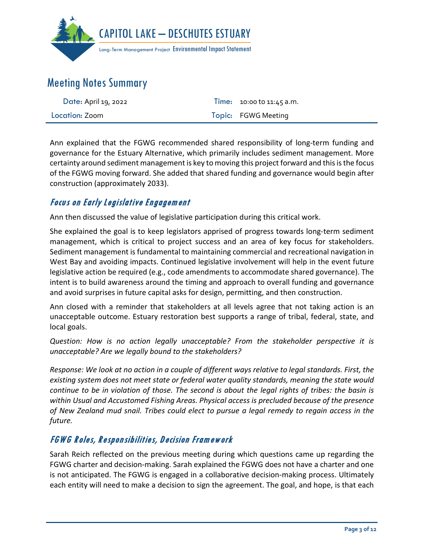

| Date: April 19, 2022 | <b>Time:</b> 10:00 to 11:45 a.m. |
|----------------------|----------------------------------|
| Location: Zoom       | Topic: FGWG Meeting              |

Ann explained that the FGWG recommended shared responsibility of long-term funding and governance for the Estuary Alternative, which primarily includes sediment management. More certainty around sediment management is key to moving this project forward and this is the focus of the FGWG moving forward. She added that shared funding and governance would begin after construction (approximately 2033).

## Focus on Early Legislative Engagement

Ann then discussed the value of legislative participation during this critical work.

She explained the goal is to keep legislators apprised of progress towards long-term sediment management, which is critical to project success and an area of key focus for stakeholders. Sediment management is fundamental to maintaining commercial and recreational navigation in West Bay and avoiding impacts. Continued legislative involvement will help in the event future legislative action be required (e.g., code amendments to accommodate shared governance). The intent is to build awareness around the timing and approach to overall funding and governance and avoid surprises in future capital asks for design, permitting, and then construction.

Ann closed with a reminder that stakeholders at all levels agree that not taking action is an unacceptable outcome. Estuary restoration best supports a range of tribal, federal, state, and local goals.

*Question: How is no action legally unacceptable? From the stakeholder perspective it is unacceptable? Are we legally bound to the stakeholders?*

*Response: We look at no action in a couple of different ways relative to legal standards. First, the existing system does not meet state or federal water quality standards, meaning the state would continue to be in violation of those. The second is about the legal rights of tribes: the basin is within Usual and Accustomed Fishing Areas. Physical access is precluded because of the presence of New Zealand mud snail. Tribes could elect to pursue a legal remedy to regain access in the future.* 

## FGWG Roles, Responsibilities, Decision Framework

Sarah Reich reflected on the previous meeting during which questions came up regarding the FGWG charter and decision-making. Sarah explained the FGWG does not have a charter and one is not anticipated. The FGWG is engaged in a collaborative decision-making process. Ultimately each entity will need to make a decision to sign the agreement. The goal, and hope, is that each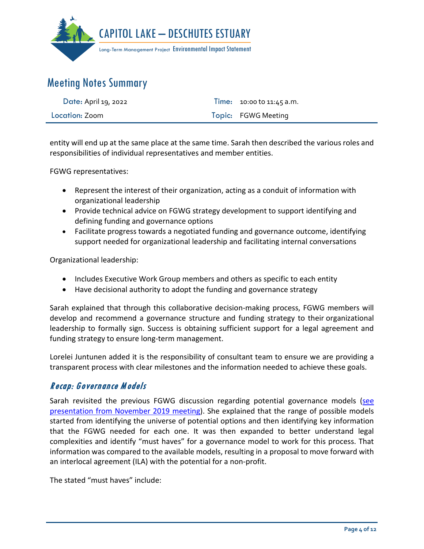

| Date: April 19, 2022 | Time: $10:00$ to $11:45$ a.m. |
|----------------------|-------------------------------|
| Location: Zoom       | Topic: FGWG Meeting           |

entity will end up at the same place at the same time. Sarah then described the various roles and responsibilities of individual representatives and member entities.

FGWG representatives:

- Represent the interest of their organization, acting as a conduit of information with organizational leadership
- Provide technical advice on FGWG strategy development to support identifying and defining funding and governance options
- Facilitate progress towards a negotiated funding and governance outcome, identifying support needed for organizational leadership and facilitating internal conversations

Organizational leadership:

- Includes Executive Work Group members and others as specific to each entity
- Have decisional authority to adopt the funding and governance strategy

Sarah explained that through this collaborative decision-making process, FGWG members will develop and recommend a governance structure and funding strategy to their organizational leadership to formally sign. Success is obtaining sufficient support for a legal agreement and funding strategy to ensure long-term management.

Lorelei Juntunen added it is the responsibility of consultant team to ensure we are providing a transparent process with clear milestones and the information needed to achieve these goals.

## Recap: Governance M odels

Sarah revisited the previous FGWG discussion regarding potential governance models [\(see](https://capitollakedeschutesestuaryeis.org/Media/Default/documents/FGWG_MeetingPresentation_2019-1121.pdf)  [presentation from November 2019 meeting\)](https://capitollakedeschutesestuaryeis.org/Media/Default/documents/FGWG_MeetingPresentation_2019-1121.pdf). She explained that the range of possible models started from identifying the universe of potential options and then identifying key information that the FGWG needed for each one. It was then expanded to better understand legal complexities and identify "must haves" for a governance model to work for this process. That information was compared to the available models, resulting in a proposal to move forward with an interlocal agreement (ILA) with the potential for a non-profit.

The stated "must haves" include: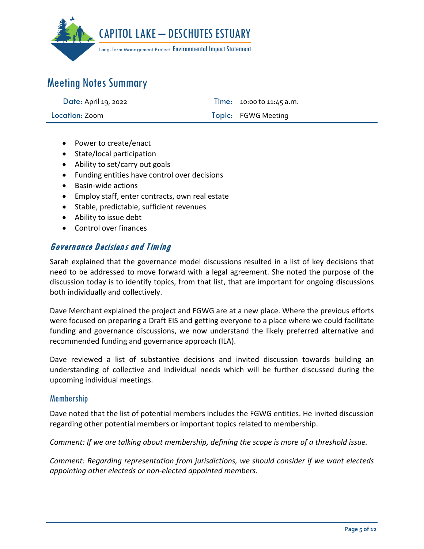

| Date: April 19, 2022 | Time: 10:00 to 11:45 a.m. |
|----------------------|---------------------------|
| Location: Zoom       | Topic: FGWG Meeting       |

- Power to create/enact
- State/local participation
- Ability to set/carry out goals
- Funding entities have control over decisions
- Basin-wide actions
- Employ staff, enter contracts, own real estate
- Stable, predictable, sufficient revenues
- Ability to issue debt
- Control over finances

#### Governance Decisions and Timing

Sarah explained that the governance model discussions resulted in a list of key decisions that need to be addressed to move forward with a legal agreement. She noted the purpose of the discussion today is to identify topics, from that list, that are important for ongoing discussions both individually and collectively.

Dave Merchant explained the project and FGWG are at a new place. Where the previous efforts were focused on preparing a Draft EIS and getting everyone to a place where we could facilitate funding and governance discussions, we now understand the likely preferred alternative and recommended funding and governance approach (ILA).

Dave reviewed a list of substantive decisions and invited discussion towards building an understanding of collective and individual needs which will be further discussed during the upcoming individual meetings.

#### Membership

Dave noted that the list of potential members includes the FGWG entities. He invited discussion regarding other potential members or important topics related to membership.

*Comment: If we are talking about membership, defining the scope is more of a threshold issue.* 

*Comment: Regarding representation from jurisdictions, we should consider if we want electeds appointing other electeds or non-elected appointed members.*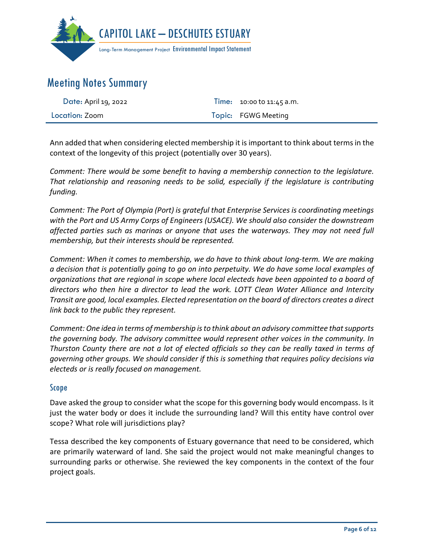

| Date: April 19, 2022 | Time: 10:00 to 11:45 a.m. |
|----------------------|---------------------------|
| Location: Zoom       | Topic: FGWG Meeting       |

Ann added that when considering elected membership it is important to think about terms in the context of the longevity of this project (potentially over 30 years).

*Comment: There would be some benefit to having a membership connection to the legislature. That relationship and reasoning needs to be solid, especially if the legislature is contributing funding.* 

*Comment: The Port of Olympia (Port) is grateful that Enterprise Services is coordinating meetings with the Port and US Army Corps of Engineers (USACE). We should also consider the downstream affected parties such as marinas or anyone that uses the waterways. They may not need full membership, but their interests should be represented.*

*Comment: When it comes to membership, we do have to think about long-term. We are making a decision that is potentially going to go on into perpetuity. We do have some local examples of organizations that are regional in scope where local electeds have been appointed to a board of directors who then hire a director to lead the work. LOTT Clean Water Alliance and Intercity Transit are good, local examples. Elected representation on the board of directors creates a direct link back to the public they represent.* 

*Comment: One idea in terms of membership is to think about an advisory committee that supports the governing body. The advisory committee would represent other voices in the community. In Thurston County there are not a lot of elected officials so they can be really taxed in terms of governing other groups. We should consider if this is something that requires policy decisions via electeds or is really focused on management.* 

#### Scope

Dave asked the group to consider what the scope for this governing body would encompass. Is it just the water body or does it include the surrounding land? Will this entity have control over scope? What role will jurisdictions play?

Tessa described the key components of Estuary governance that need to be considered, which are primarily waterward of land. She said the project would not make meaningful changes to surrounding parks or otherwise. She reviewed the key components in the context of the four project goals.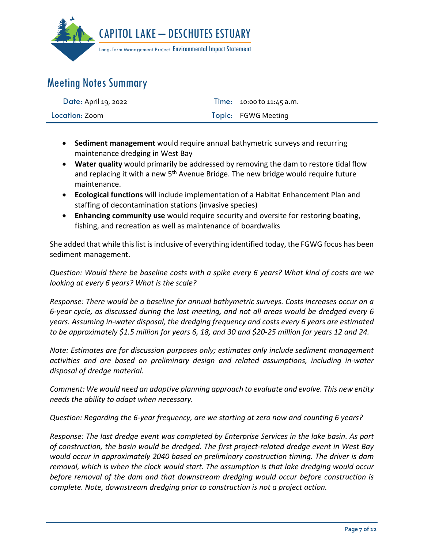

| Date: April 19, 2022 | Time: $10:00$ to $11:45$ a.m. |
|----------------------|-------------------------------|
| Location: Zoom       | Topic: FGWG Meeting           |

- **Sediment management** would require annual bathymetric surveys and recurring maintenance dredging in West Bay
- **Water quality** would primarily be addressed by removing the dam to restore tidal flow and replacing it with a new  $5<sup>th</sup>$  Avenue Bridge. The new bridge would require future maintenance.
- **Ecological functions** will include implementation of a Habitat Enhancement Plan and staffing of decontamination stations (invasive species)
- **Enhancing community use** would require security and oversite for restoring boating, fishing, and recreation as well as maintenance of boardwalks

She added that while this list is inclusive of everything identified today, the FGWG focus has been sediment management.

*Question: Would there be baseline costs with a spike every 6 years? What kind of costs are we looking at every 6 years? What is the scale?*

*Response: There would be a baseline for annual bathymetric surveys. Costs increases occur on a 6-year cycle, as discussed during the last meeting, and not all areas would be dredged every 6 years. Assuming in-water disposal, the dredging frequency and costs every 6 years are estimated to be approximately \$1.5 million for years 6, 18, and 30 and \$20-25 million for years 12 and 24.*

*Note: Estimates are for discussion purposes only; estimates only include sediment management activities and are based on preliminary design and related assumptions, including in-water disposal of dredge material.* 

*Comment: We would need an adaptive planning approach to evaluate and evolve. This new entity needs the ability to adapt when necessary.* 

*Question: Regarding the 6-year frequency, are we starting at zero now and counting 6 years?*

*Response: The last dredge event was completed by Enterprise Services in the lake basin. As part of construction, the basin would be dredged. The first project-related dredge event in West Bay would occur in approximately 2040 based on preliminary construction timing. The driver is dam removal, which is when the clock would start. The assumption is that lake dredging would occur before removal of the dam and that downstream dredging would occur before construction is complete. Note, downstream dredging prior to construction is not a project action.*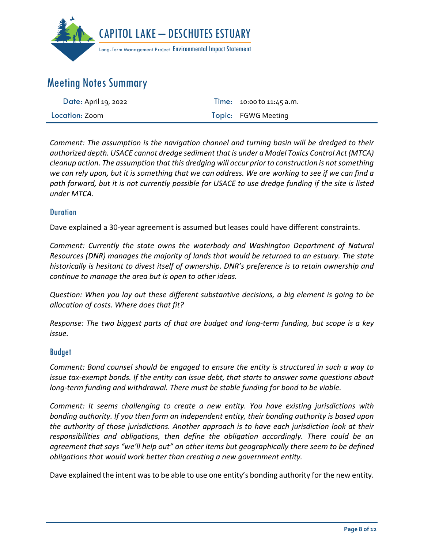

| Date: April 19, 2022 | <b>Time:</b> 10:00 to 11:45 a.m. |
|----------------------|----------------------------------|
| Location: Zoom       | Topic: FGWG Meeting              |

*Comment: The assumption is the navigation channel and turning basin will be dredged to their authorized depth. USACE cannot dredge sediment that is under a Model Toxics Control Act (MTCA) cleanup action. The assumption that this dredging will occur prior to construction is not something we can rely upon, but it is something that we can address. We are working to see if we can find a path forward, but it is not currently possible for USACE to use dredge funding if the site is listed under MTCA.*

#### **Duration**

Dave explained a 30-year agreement is assumed but leases could have different constraints.

*Comment: Currently the state owns the waterbody and Washington Department of Natural Resources (DNR) manages the majority of lands that would be returned to an estuary. The state historically is hesitant to divest itself of ownership. DNR's preference is to retain ownership and continue to manage the area but is open to other ideas.* 

*Question: When you lay out these different substantive decisions, a big element is going to be allocation of costs. Where does that fit?*

*Response: The two biggest parts of that are budget and long-term funding, but scope is a key issue.* 

#### Budget

*Comment: Bond counsel should be engaged to ensure the entity is structured in such a way to issue tax-exempt bonds. If the entity can issue debt, that starts to answer some questions about long-term funding and withdrawal. There must be stable funding for bond to be viable.* 

*Comment: It seems challenging to create a new entity. You have existing jurisdictions with bonding authority. If you then form an independent entity, their bonding authority is based upon the authority of those jurisdictions. Another approach is to have each jurisdiction look at their responsibilities and obligations, then define the obligation accordingly. There could be an agreement that says "we'll help out" on other items but geographically there seem to be defined obligations that would work better than creating a new government entity.* 

Dave explained the intent was to be able to use one entity's bonding authority for the new entity.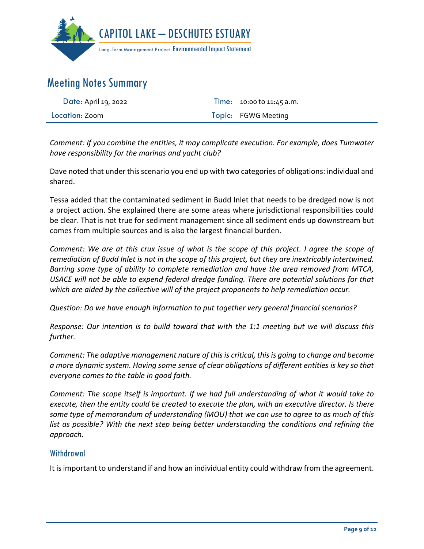

| Date: April 19, 2022 | <b>Time:</b> $10:00$ to $11:45$ a.m. |
|----------------------|--------------------------------------|
| Location: Zoom       | Topic: FGWG Meeting                  |

*Comment: If you combine the entities, it may complicate execution. For example, does Tumwater have responsibility for the marinas and yacht club?*

Dave noted that under this scenario you end up with two categories of obligations: individual and shared.

Tessa added that the contaminated sediment in Budd Inlet that needs to be dredged now is not a project action. She explained there are some areas where jurisdictional responsibilities could be clear. That is not true for sediment management since all sediment ends up downstream but comes from multiple sources and is also the largest financial burden.

*Comment: We are at this crux issue of what is the scope of this project. I agree the scope of remediation of Budd Inlet is not in the scope of this project, but they are inextricably intertwined. Barring some type of ability to complete remediation and have the area removed from MTCA, USACE will not be able to expend federal dredge funding. There are potential solutions for that which are aided by the collective will of the project proponents to help remediation occur.* 

*Question: Do we have enough information to put together very general financial scenarios?*

*Response: Our intention is to build toward that with the 1:1 meeting but we will discuss this further.* 

*Comment: The adaptive management nature of this is critical, this is going to change and become a more dynamic system. Having some sense of clear obligations of different entities is key so that everyone comes to the table in good faith.* 

*Comment: The scope itself is important. If we had full understanding of what it would take to execute, then the entity could be created to execute the plan, with an executive director. Is there some type of memorandum of understanding (MOU) that we can use to agree to as much of this list as possible? With the next step being better understanding the conditions and refining the approach.*

#### Withdrawal

It is important to understand if and how an individual entity could withdraw from the agreement.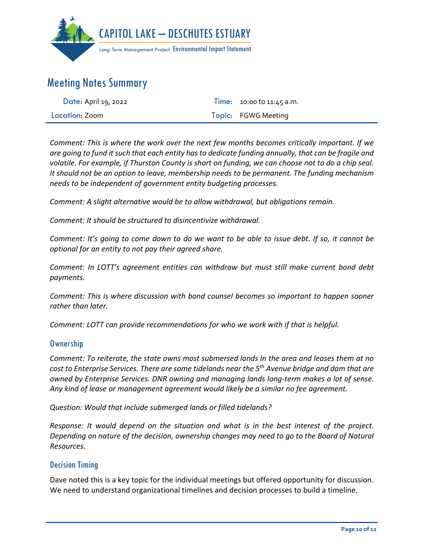

| Date: April 19, 2022 | Time: 10:00 to 11:45 a.m. |
|----------------------|---------------------------|
| Location: Zoom       | Topic: FGWG Meeting       |

*Comment: This is where the work over the next few months becomes critically important. If we are going to fund it such that each entity has to dedicate funding annually, that can be fragile and volatile. For example, if Thurston County is short on funding, we can choose not to do a chip seal. It should not be an option to leave, membership needs to be permanent. The funding mechanism needs to be independent of government entity budgeting processes.* 

*Comment: A slight alternative would be to allow withdrawal, but obligations remain.* 

*Comment: It should be structured to disincentivize withdrawal.* 

*Comment: It's going to come down to do we want to be able to issue debt. If so, it cannot be optional for an entity to not pay their agreed share.* 

*Comment: In LOTT's agreement entities can withdraw but must still make current bond debt payments.* 

*Comment: This is where discussion with bond counsel becomes so important to happen sooner rather than later.* 

*Comment: LOTT can provide recommendations for who we work with if that is helpful.* 

#### **Ownership**

*Comment: To reiterate, the state owns most submersed lands in the area and leases them at no cost to Enterprise Services. There are some tidelands near the 5th Avenue bridge and dam that are owned by Enterprise Services. DNR owning and managing lands long-term makes a lot of sense. Any kind of lease or management agreement would likely be a similar no fee agreement.* 

*Question: Would that include submerged lands or filled tidelands?*

*Response: It would depend on the situation and what is in the best interest of the project. Depending on nature of the decision, ownership changes may need to go to the Board of Natural Resources.*

#### Decision Timing

Dave noted this is a key topic for the individual meetings but offered opportunity for discussion. We need to understand organizational timelines and decision processes to build a timeline.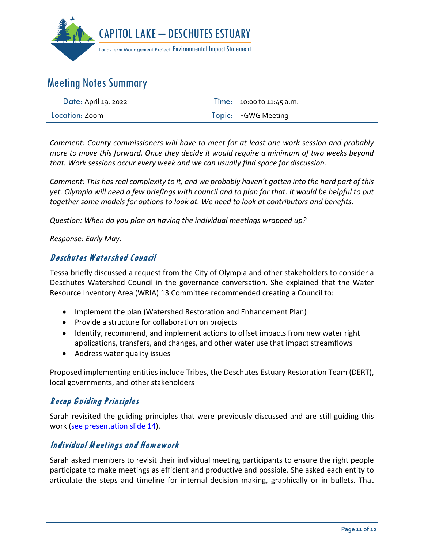

| Date: April 19, 2022 | <b>Time:</b> $10:00$ to $11:45$ a.m. |
|----------------------|--------------------------------------|
| Location: Zoom       | Topic: FGWG Meeting                  |

*Comment: County commissioners will have to meet for at least one work session and probably more to move this forward. Once they decide it would require a minimum of two weeks beyond that. Work sessions occur every week and we can usually find space for discussion.* 

*Comment: This has real complexity to it, and we probably haven't gotten into the hard part of this yet. Olympia will need a few briefings with council and to plan for that. It would be helpful to put together some models for options to look at. We need to look at contributors and benefits.*

*Question: When do you plan on having the individual meetings wrapped up?*

*Response: Early May.* 

### Deschutes Watershed Council

Tessa briefly discussed a request from the City of Olympia and other stakeholders to consider a Deschutes Watershed Council in the governance conversation. She explained that the Water Resource Inventory Area (WRIA) 13 Committee recommended creating a Council to:

- Implement the plan (Watershed Restoration and Enhancement Plan)
- Provide a structure for collaboration on projects
- Identify, recommend, and implement actions to offset impacts from new water right applications, transfers, and changes, and other water use that impact streamflows
- Address water quality issues

Proposed implementing entities include Tribes, the Deschutes Estuary Restoration Team (DERT), local governments, and other stakeholders

### Recap Guiding Principles

Sarah revisited the guiding principles that were previously discussed and are still guiding this work [\(see presentation slide 14\)](https://capitollakedeschutesestuaryeis.org/Media/Default/documents/CLDE_EIS_FGWG_Presentation_2022-0419.pdf).

### Individual M eetings and Homework

Sarah asked members to revisit their individual meeting participants to ensure the right people participate to make meetings as efficient and productive and possible. She asked each entity to articulate the steps and timeline for internal decision making, graphically or in bullets. That